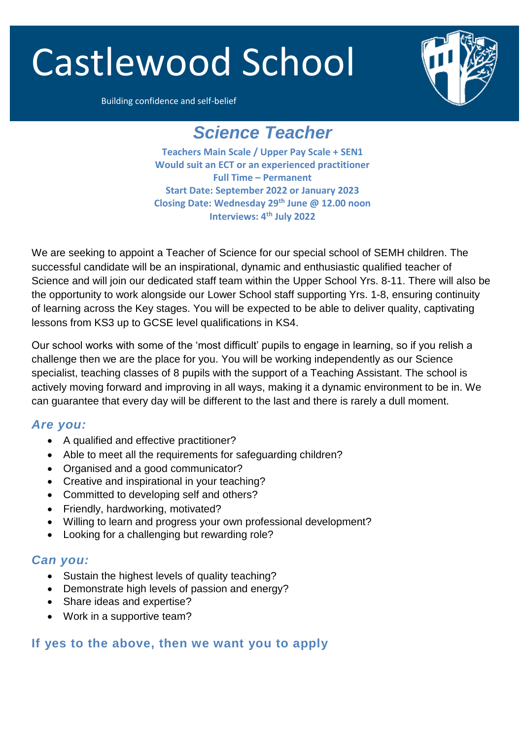# Castlewood School



Building confidence and self-belief

## *Science Teacher*

**Teachers Main Scale / Upper Pay Scale + SEN1 Would suit an ECT or an experienced practitioner Full Time – Permanent Start Date: September 2022 or January 2023 Closing Date: Wednesday 29th June @ 12.00 noon Interviews: 4 th July 2022**

We are seeking to appoint a Teacher of Science for our special school of SEMH children. The successful candidate will be an inspirational, dynamic and enthusiastic qualified teacher of Science and will join our dedicated staff team within the Upper School Yrs. 8-11. There will also be the opportunity to work alongside our Lower School staff supporting Yrs. 1-8, ensuring continuity of learning across the Key stages. You will be expected to be able to deliver quality, captivating lessons from KS3 up to GCSE level qualifications in KS4.

Our school works with some of the 'most difficult' pupils to engage in learning, so if you relish a challenge then we are the place for you. You will be working independently as our Science specialist, teaching classes of 8 pupils with the support of a Teaching Assistant. The school is actively moving forward and improving in all ways, making it a dynamic environment to be in. We can guarantee that every day will be different to the last and there is rarely a dull moment.

#### *Are you:*

- A qualified and effective practitioner?
- Able to meet all the requirements for safeguarding children?
- Organised and a good communicator?
- Creative and inspirational in your teaching?
- Committed to developing self and others?
- Friendly, hardworking, motivated?
- Willing to learn and progress your own professional development?
- Looking for a challenging but rewarding role?

#### *Can you:*

- Sustain the highest levels of quality teaching?
- Demonstrate high levels of passion and energy?
- Share ideas and expertise?
- Work in a supportive team?

#### **If yes to the above, then we want you to apply**